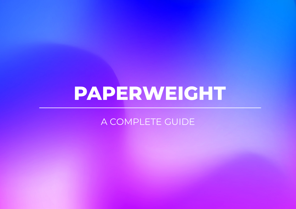# **PAPERWEIGHT**

A COMPLETE GUIDE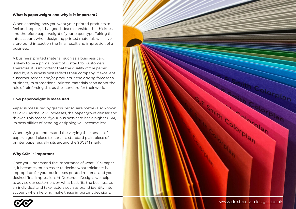### **What is paperweight and why is it important?**

When choosing how you want your printed products to feel and appear, it is a good idea to consider the thickness and therefore paperweight of your paper type. Taking this into account when designing printed materials will have a profound impact on the final result and impression of a business.

A business' printed material, such as a business card, is likely to be a primal point of contact for customers. Therefore, it is important that the quality of the paper used by a business best reflects their company. If excellent customer service and/or products is the driving force for a business, its promotional printed materials soon adopt the role of reinforcing this as the standard for their work.

### **How paperweight is measured**

Paper is measured by grams per square metre (also known as GSM). As the GSM increases, the paper grows denser and thicker. This means if your business card has a higher GSM, its possibilities of bending or ripping will become less.

When trying to understand the varying thicknesses of paper, a good place to start is a standard plain piece of printer paper usually sits around the 90GSM mark.

## **Why GSM is important**

Once you understand the importance of what GSM paper is, it becomes much easier to decide what thickness is appropriate for your businesses printed material and your desired final impression. At Dexterous Designs we help to advise our customers on what best fits the business as an individual and take factors such as brand identity into account when helping make these important decisions.



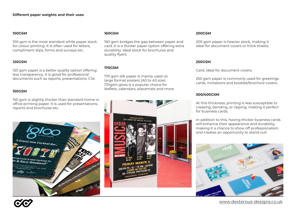#### **100GSM**

100 gsm is the most standard white paper stock for colour printing. It is often used for letters, compliment slips, forms and surveys etc.

#### **120GSM**

120 gsm paper is a better quality option offering less transparency. It is good for professional documents such as reports, presentations, CVs

#### **150GSM**

150 gsm is slightly thicker than standard home or office printing paper. It is used for presentations, reports and brochures etc.



#### **160GSM**

160 gsm bridges the gap between paper and card. It is a thicker paper option offering extra durability. Ideal stock for brochures and quality flyers.

## **170GSM**

170 gsm silk paper is mainly used on large format posters (A0 to A3 size). 170gsm gloss is a popular choice for leaflets, calendars, placemats and more.



#### **200GSM**

200 gsm paper is heavier stock, making it ideal for document covers or thick sheets.

#### **250GSM**

Card, ideal for document covers.

250 gsm paper is commonly used for greetings cards, invitations and booklet/brochure covers.

### **300/400GSM**

At this thickness, printing is less susceptible to creasing, bending, or ripping, making it perfect for business cards.

In addition to this, having thicker business cards will enhance their appearance and durability, making it a chance to show off professionalism and creates an opportunity to stand out!